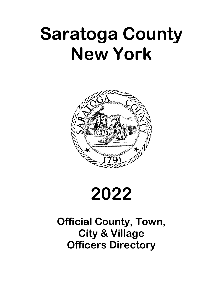# **Saratoga County New York**



# **2022**

# **Official County, Town, City & Village Officers Directory**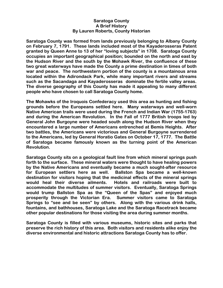#### **Saratoga County A Brief History By Lauren Roberts, County Historian**

**Saratoga County was formed from lands previously belonging to Albany County on February 7, 1791. These lands included most of the Kayaderosseras Patent granted by Queen Anne to 13 of her "loving subjects" in 1708. Saratoga County occupies an important geographical position; bounded on the north and east by the Hudson River and the south by the Mohawk River, the confluence of these two great waterways have made the County a prime destination in times of both war and peace. The northwestern portion of the county is a mountainous area located within the Adirondack Park, while many important rivers and streams such as the Sacandaga and Kayaderosseras dominate the fertile valley areas. The diverse geography of this County has made it appealing to many different people who have chosen to call Saratoga County home.** 

**The Mohawks of the Iroquois Confederacy used this area as hunting and fishing grounds before the Europeans settled here. Many waterways and well-worn Native American trails were used during the French and Indian War (1755-1763) and during the American Revolution. In the Fall of 1777 British troops led by General John Burgoyne were headed south along the Hudson River when they encountered a large number of Americans entrenched at Bemis Heights. After two battles, the Americans were victorious and General Burgoyne surrendered to the Americans, led by General Horatio Gates on October 17, 1777. The Battle of Saratoga became famously known as the turning point of the American Revolution.** 

**Saratoga County sits on a geological fault line from which mineral springs push forth to the surface. These mineral waters were thought to have healing powers by the Native Americans and eventually became a much sought-after resource for European settlers here as well. Ballston Spa became a well-known destination for visitors hoping that the medicinal effects of the mineral springs would heal their diverse ailments. Hotels and railroads were built to accommodate the multitudes of summer visitors. Eventually, Saratoga Springs would trump Ballston Spa as the "Queen of the Spas" and enjoyed much prosperity through the Victorian Era. Summer visitors came to Saratoga Springs to "see and be seen" by others. Along with the various drink halls, fountains, and bathhouses, Saratoga Lake and the Saratoga Racetrack became other popular destinations for those visiting the area during summer months.** 

**Saratoga County is filled with various museums, historic sites and parks that preserve the rich history of this area. Both visitors and residents alike enjoy the diverse environmental and historic attractions Saratoga County has to offer.**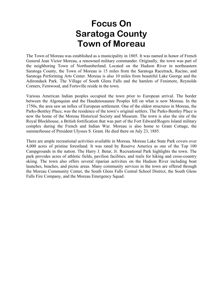### **Focus On Saratoga County Town of Moreau**

The Town of Moreau was established as a municipality in 1805. It was named in honor of French General Jean Victor Moreau, a renowned military commander. Originally, the town was part of the neighboring Town of Northumberland. Located on the Hudson River in northeastern Saratoga County, the Town of Moreau is 15 miles from the Saratoga Racetrack, Racino, and Saratoga Performing Arts Center. Moreau is also 10 miles from beautiful Lake George and the Adirondack Park. The Village of South Glens Falls and the hamlets of Fenimore, Reynolds Corners, Fernwood, and Fortsville reside in the town.

Various American Indian peoples occupied the town prior to European arrival. The border between the Algonquian and the Haudenosaunee Peoples fell on what is now Moreau. In the 1750s, the area saw an influx of European settlement. One of the oldest structures in Moreau, the Parks-Bentley Place, was the residence of the town's original settlers. The Parks-Bentley Place is now the home of the Moreau Historical Society and Museum. The town is also the site of the Royal Blockhouse, a British fortification that was part of the Fort Edward/Rogers Island military complex during the French and Indian War. Moreau is also home to Grant Cottage, the summerhouse of President Ulysses S. Grant. He died there on July 23, 1885.

There are ample recreational activities available in Moreau. Moreau Lake State Park covers over 4,000 acres of pristine forestland. It was rated by Reserve America as one of the Top 100 Campgrounds in the nation. The Harry J. Betar, Jr. Recreational Park highlights the town. The park provides acres of athletic fields, pavilion facilities, and trails for hiking and cross-country skiing. The town also offers several riparian activities on the Hudson River including boat launches, beaches, and picnic areas. Many community services in the town are offered through the Moreau Community Center, the South Glens Falls Central School District, the South Glens Falls Fire Company, and the Moreau Emergency Squad.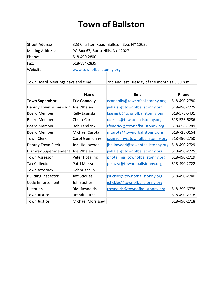# **Town of Ballston**

| <b>Street Address:</b>            | 323 Charlton Road, Ballston Spa, NY 12020 |                                                |              |  |  |
|-----------------------------------|-------------------------------------------|------------------------------------------------|--------------|--|--|
| <b>Mailing Address:</b>           | PO Box 67, Burnt Hills, NY 12027          |                                                |              |  |  |
| Phone:                            | 518-490-2800                              |                                                |              |  |  |
| Fax:                              | 518-884-2839                              |                                                |              |  |  |
| Website:                          | www.townofballstonny.org                  |                                                |              |  |  |
|                                   |                                           |                                                |              |  |  |
| Town Board Meetings days and time |                                           | 2nd and last Tuesday of the month at 6:30 p.m. |              |  |  |
|                                   |                                           |                                                |              |  |  |
|                                   | <b>Name</b>                               | Email                                          | Phone        |  |  |
| <b>Town Supervisor</b>            | <b>Eric Connolly</b>                      | econnolly@townofballstonny.org                 | 518-490-2780 |  |  |
| Deputy Town Supervisor            | Joe Whalen                                | jwhalen@townofballstonny.org                   | 518-490-2725 |  |  |
| <b>Board Member</b>               | Kelly Jasinski                            | kjasinski@townofballstonny.org                 | 518-573-5431 |  |  |
| <b>Board Member</b>               | <b>Chuck Curtiss</b>                      | ccurtiss@townofballstonny.org                  | 518-526-6286 |  |  |
| <b>Board Member</b>               | Rob Fendrick                              | rfendrick@townofballstonny.org                 | 518-858-1289 |  |  |
| <b>Board Member</b>               | Michael Carota                            | mcarota@townofballstonny.org                   | 518-723-0164 |  |  |
| <b>Town Clerk</b>                 | Carol Gumienny                            | cgumienny@townofballstonny.org                 | 518-490-2750 |  |  |
| Deputy Town Clerk                 | Jodi Hollowood                            | jhollowood@townofballstonny.org                | 518-490-2729 |  |  |
| Highway Superintendent            | Joe Whalen                                | jwhalen@townofballstonny.org                   | 518-490-2725 |  |  |
| <b>Town Assessor</b>              | <b>Peter Hotaling</b>                     | photaling@townofballstonny.org                 | 518-490-2719 |  |  |
| <b>Tax Collector</b>              | Patti Mazza                               | pmazza@townofballstonny.org                    | 518-490-2722 |  |  |
| <b>Town Attorney</b>              | Debra Kaelin                              |                                                |              |  |  |
| <b>Building Inspector</b>         | Jeff Stickles                             | jstickles@townofballstonny.org                 | 518-490-2740 |  |  |
| Code Enforcement                  | <b>Jeff Stickles</b>                      | jstickles@townofballstonny.org                 |              |  |  |
| Historian                         | <b>Rick Reynolds</b>                      | rreynolds@townofballstonny.org                 | 518-399-6778 |  |  |
| Town Justice                      | <b>Brandi Burns</b>                       |                                                | 518-490-2718 |  |  |
| <b>Town Justice</b>               | <b>Michael Morrissey</b>                  |                                                | 518-490-2718 |  |  |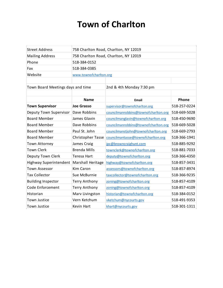# **Town of Charlton**

| <b>Street Address</b>             | 758 Charlton Road, Charlton, NY 12019 |                                      |              |  |  |
|-----------------------------------|---------------------------------------|--------------------------------------|--------------|--|--|
| <b>Mailing Address</b>            | 758 Charlton Road, Charlton, NY 12019 |                                      |              |  |  |
| Phone                             | 518-384-0152                          |                                      |              |  |  |
| Fax                               | 518-384-0385                          |                                      |              |  |  |
| Website                           | www.townofcharlton.org                |                                      |              |  |  |
|                                   |                                       |                                      |              |  |  |
| Town Board Meetings days and time |                                       | 2nd & 4th Monday 7:30 pm             |              |  |  |
|                                   |                                       |                                      |              |  |  |
|                                   | <b>Name</b>                           | Email                                | Phone        |  |  |
| <b>Town Supervisor</b>            | <b>Joe Grasso</b>                     | supervisor@townofcharlton.org        | 518-257-0224 |  |  |
| Deputy Town Supervisor            | Dave Robbins                          | councilmanrobbins@townofcharlton.org | 518-669-5028 |  |  |
| <b>Board Member</b>               | James Glavin                          | councilmanglavin@townofcharlton.org  | 518-450-9690 |  |  |
| <b>Board Member</b>               | Dave Robbins                          | councilmanrobbins@townofcharlton.org | 518-669-5028 |  |  |
| <b>Board Member</b>               | Paul St. John                         | councilmanstjohn@townofcharlton.org  | 518-669-2793 |  |  |
| <b>Board Member</b>               | <b>Christopher Tasse</b>              | councilmantasse@townofcharlton.org   | 518-366-1941 |  |  |
| <b>Town Attorney</b>              | James Craig                           | jpc@browncraighunt.com               | 518-885-9292 |  |  |
| <b>Town Clerk</b>                 | <b>Brenda Mills</b>                   | townclerk@townofcharlton.org         | 518-881-7033 |  |  |
| Deputy Town Clerk                 | <b>Teresa Hart</b>                    | deputy@townofcharlton.org            | 518-366-4350 |  |  |
| Highway Superintendent            | Marshall Heritage                     | highway@townofcharlton.org           | 518-857-3431 |  |  |
| <b>Town Assessor</b>              | <b>Kim Caron</b>                      | assessors@townofcharlton.org         | 518-857-8974 |  |  |
| <b>Tax Collector</b>              | Sue McBurnie                          | taxcollector@townofcharlton.org      | 518-366-9235 |  |  |
| <b>Building Inspector</b>         | <b>Terry Anthony</b>                  | zoning@townofcharlton.org            | 518-857-4109 |  |  |
| Code Enforcement                  | <b>Terry Anthony</b>                  | zoning@townofcharlton.org            | 518-857-4109 |  |  |
| Historian                         | Marv Livingston                       | historian@townofcharlton.org         | 518-384-0152 |  |  |
| <b>Town Justice</b>               | Vern Ketchum                          | vketchum@nycourts.gov                | 518-491-9353 |  |  |
| <b>Town Justice</b>               | Kevin Hart                            | khart@nycourts.gov                   | 518-301-1311 |  |  |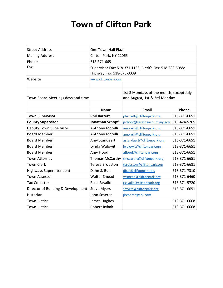# **Town of Clifton Park**

| <b>Street Address</b>              | One Town Hall Plaza                                                                   |                                                                         |              |  |
|------------------------------------|---------------------------------------------------------------------------------------|-------------------------------------------------------------------------|--------------|--|
| <b>Mailing Address</b>             | Clifton Park, NY 12065                                                                |                                                                         |              |  |
| Phone                              | 518-371-6651                                                                          |                                                                         |              |  |
| Fax                                | Supervisor Fax: 518-371-1136; Clerk's Fax: 518-383-5088;<br>Highway Fax: 518-373-0039 |                                                                         |              |  |
| Website                            | www.cliftonpark.org                                                                   |                                                                         |              |  |
|                                    |                                                                                       |                                                                         |              |  |
| Town Board Meetings days and time  |                                                                                       | 1st 3 Mondays of the month, except July<br>and August, 1st & 3rd Monday |              |  |
|                                    | <b>Name</b>                                                                           | <b>Email</b>                                                            | Phone        |  |
| <b>Town Supervisor</b>             | <b>Phil Barrett</b>                                                                   | pbarrett@cliftonpark.org                                                | 518-371-6651 |  |
| <b>County Supervisor</b>           | Jonathan Schopf                                                                       | jschopf@saratogacountyny.gov                                            | 518-424-5265 |  |
| Deputy Town Supervisor             | Anthony Morelli                                                                       | amorelli@cliftonpark.org                                                | 518-371-6651 |  |
| <b>Board Member</b>                | Anthony Morelli                                                                       | amorelli@cliftonpark.org                                                | 518-371-6651 |  |
| <b>Board Member</b>                | Amy Standaert                                                                         | astandaert@cliftonpark.org                                              | 518-371-6651 |  |
| <b>Board Member</b>                | Lynda Walowit                                                                         | Iwalowit@cliftonpark.org                                                | 518-371-6651 |  |
| <b>Board Member</b>                | Amy Flood                                                                             | aflood@cliftonpark.org                                                  | 518-371-6651 |  |
| Town Attorney                      | Thomas McCarthy                                                                       | tmccarthy@cliftonpark.org                                               | 518-371-6651 |  |
| <b>Town Clerk</b>                  | Teresa Brobston                                                                       | tbrobston@cliftonpark.org                                               | 518-371-6681 |  |
| Highways Superintendent            | Dahn S. Bull                                                                          | dbull@cliftonpark.org                                                   | 518-371-7310 |  |
| <b>Town Assessor</b>               | <b>Walter Smead</b>                                                                   | wsmead@cliftonpark.org                                                  | 518-371-6460 |  |
| <b>Tax Collector</b>               | Rose Savallo                                                                          | rsavallo@cliftonpark.org                                                | 518-371-5720 |  |
| Director of Building & Development | <b>Steve Myers</b>                                                                    | smyers@cliftonpark.org                                                  | 518-371-6651 |  |
| Historian                          | John Scherer                                                                          | jlscherer@aol.com                                                       |              |  |
| <b>Town Justice</b>                | James Hughes                                                                          |                                                                         | 518-371-6668 |  |
| <b>Town Justice</b>                | Robert Rybak                                                                          |                                                                         | 518-371-6668 |  |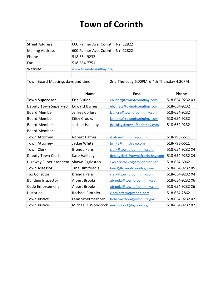# **Town of Corinth**

| <b>Street Address</b>             | 600 Palmer Ave. Corinth NY 12822 |                                           |                 |  |
|-----------------------------------|----------------------------------|-------------------------------------------|-----------------|--|
| <b>Mailing Address</b>            | 600 Palmer Ave. Corinth NY 12822 |                                           |                 |  |
| Phone                             | 518-654-9232                     |                                           |                 |  |
| Fax                               | 518-654-7751                     |                                           |                 |  |
| Website                           | www.townofcorinthny.org          |                                           |                 |  |
|                                   |                                  |                                           |                 |  |
| Town Board Meetings days and time |                                  | 2nd Thursday 6:00PM & 4th Thursday 4:30PM |                 |  |
|                                   |                                  |                                           |                 |  |
|                                   | <b>Name</b>                      | <b>Email</b>                              | Phone           |  |
| <b>Town Supervisor</b>            | <b>Eric Butler</b>               | ebutler@townofcorinthny.com               | 518-654-9232 X3 |  |
| Deputy Town Supervisor            | <b>Edward Byrnes</b>             | ebyrnes@townofcorinthny.com               | 518-654-9232    |  |
| <b>Board Member</b>               | Jeffrey Collura                  | jcollura@townofcorinthny.com              | 518-654-9232    |  |
| <b>Board Member</b>               | <b>Kiley Crooks</b>              | kcrooks@townofcorinthny.com               | 518-654-9232    |  |
| <b>Board Member</b>               | Joshua Halliday                  | jhalliday@townofcorinthny.com             | 518-654-9232    |  |
| <b>Board Member</b>               |                                  |                                           |                 |  |
| <b>Town Attorney</b>              | Robert Hafner                    | rhafner@mmshlaw.com                       | 518-793-6611    |  |
| <b>Town Attorney</b>              | Jackie White                     | jwhite@mmshlaw.com                        | 518-793-6611    |  |
| <b>Town Clerk</b>                 | <b>Brenda Peris</b>              | clerk@townofcorinthny.com                 | 518-654-9232 X4 |  |
| Deputy Town Clerk                 | Kate Halliday                    | deputyclerk@townofcorinthny.com           | 518-654-9232 X4 |  |
| Highway Superintendent            | Shawn Eggleston                  | skecorinthhwy@frontiernet.net             | 518-654-6962    |  |
| <b>Town Assessor</b>              | <b>Tina Dimitriadis</b>          | tinad@townofcorinthny.com                 | 518-654-9232 X5 |  |
| <b>Tax Collector</b>              | <b>Brenda Peris</b>              | clerk@townofcorinthny.com                 | 518-654-9232 X4 |  |
| <b>Building Inspector</b>         | <b>Albert Brooks</b>             | abrooks@townofcorinthny.com               | 518-654-9232 X6 |  |
| Code Enforcement                  | <b>Albert Brooks</b>             | abrooks@townofcorinthny.com               | 518-654-9232 X6 |  |
| Historian                         | Rachael Clothier                 | clothierfarm@yahoo.com                    | 518-654-2862    |  |
| <b>Town Justice</b>               | Lane Schermerhorn                | Ischermerhorn@nycourts.gov                | 518-654-9232 X2 |  |
| <b>Town Justice</b>               | Michael T Woodcock               | mwoodcock@nycourts.gov                    | 518-654-9232 X2 |  |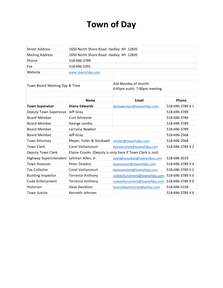### **Town of Day**

| <b>Street Address</b>                    | 1650 North Shore Road Hadley NY 12835 |                                                          |                  |  |  |
|------------------------------------------|---------------------------------------|----------------------------------------------------------|------------------|--|--|
| <b>Mailing Address</b>                   | 1650 North Shore Road Hadley NY 12835 |                                                          |                  |  |  |
| Phone                                    | 518-696-3789                          |                                                          |                  |  |  |
| Fax                                      | 518-696-5391                          |                                                          |                  |  |  |
| Website                                  | www.townofday.com                     |                                                          |                  |  |  |
|                                          |                                       |                                                          |                  |  |  |
| Town Board Meeting Day & Time            |                                       | 2nd Monday of month:<br>6:45pm audit, 7:00pm meeting     |                  |  |  |
|                                          |                                       |                                                          |                  |  |  |
|                                          | <b>Name</b>                           | <b>Email</b>                                             | Phone            |  |  |
| <b>Town Supervisor</b>                   | <b>Diana Edwards</b>                  | daysupervisor@townofday.com                              | 518-696-3789 X 1 |  |  |
| Deputy Town Supervisor                   | Jeff Gray                             |                                                          | 518-696-3789     |  |  |
| <b>Board Member</b>                      | <b>Curt Schreiner</b>                 |                                                          | 518-696-3789     |  |  |
| <b>Board Member</b>                      | George Lembo                          |                                                          | 518-696-3789     |  |  |
| <b>Board Member</b>                      | Lorraine Newton                       |                                                          | 518-696-3789     |  |  |
| <b>Board Member</b>                      | Jeff Gray                             |                                                          | 518-696-2568     |  |  |
| Town Attorney                            | Meyer, Fuller & Stockwell             | mfuller@meyerfuller.com                                  | 518-696-2568     |  |  |
| <b>Town Clerk</b>                        | Carol Vaillancourt                    | daytownclerk@townofday.com                               | 518-696-3789 X 2 |  |  |
| Deputy Town Clerk                        |                                       | Elaine Crooks (Deputy is only here if Town Clerk is not) |                  |  |  |
| Highway Superintendent Lehman Allen, Jr. |                                       | dayhighwaydept@townofday.com                             | 518-696-3019     |  |  |
| <b>Town Assessor</b>                     | Peter Dziedzic                        | dayassessor@townofday.com                                | 518-696-3789 X 4 |  |  |
| <b>Tax Collector</b>                     | Carol Vaillancourt                    | daytownclerk@townofday.com                               | 518-696-3789 X 2 |  |  |
| <b>Building Inspector</b>                | <b>Terrence Anthony</b>               | codeenforcement@townofday.com                            | 518-696-3789 X 0 |  |  |
| Code Enforcement                         | <b>Terrence Anthony</b>               | codeenforcement@townofday.com                            | 518-696-3789 X 0 |  |  |
| Historian                                | Dave Davidson                         | townofdayhistorian@yahoo.com                             | 518-696-5158     |  |  |
| <b>Town Justice</b>                      | Kenneth Johnsen                       |                                                          | 518-696-3789 X 6 |  |  |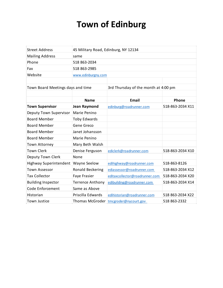# **Town of Edinburg**

| <b>Street Address</b>             | 45 Military Road, Edinburg, NY 12134 |                                       |                  |  |
|-----------------------------------|--------------------------------------|---------------------------------------|------------------|--|
| <b>Mailing Address</b>            | same                                 |                                       |                  |  |
| Phone                             | 518 863-2034                         |                                       |                  |  |
| Fax                               | 518 863-2985                         |                                       |                  |  |
| Website                           | www.edinburgny.com                   |                                       |                  |  |
|                                   |                                      |                                       |                  |  |
| Town Board Meetings days and time |                                      | 3rd Thursday of the month at 4:00 pm  |                  |  |
|                                   |                                      |                                       |                  |  |
|                                   | <b>Name</b>                          | <b>Email</b>                          | Phone            |  |
| <b>Town Supervisor</b>            | <b>Jean Raymond</b>                  | edinburg@roadrunner.com               | 518-863-2034 X11 |  |
| Deputy Town Supervisor            | Marie Penino                         |                                       |                  |  |
| <b>Board Member</b>               | <b>Toby Edwards</b>                  |                                       |                  |  |
| <b>Board Member</b>               | Gene Greco                           |                                       |                  |  |
| <b>Board Member</b>               | Janet Johansson                      |                                       |                  |  |
| <b>Board Member</b>               | Marie Penino                         |                                       |                  |  |
| <b>Town Attorney</b>              | Mary Beth Walsh                      |                                       |                  |  |
| <b>Town Clerk</b>                 | Denise Ferguson                      | ediclerk@roadrunner.com               | 518-863-2034 X10 |  |
| Deputy Town Clerk                 | None                                 |                                       |                  |  |
| Highway Superintendent            | <b>Wayne Seelow</b>                  | edihighway@roadrunner.com             | 518-863-8126     |  |
| <b>Town Assessor</b>              | Ronald Beckering                     | ediassessor@roadrunner.com            | 518-863-2034 X12 |  |
| <b>Tax Collector</b>              | Faye Frasier                         | editaxcollector@roadrunner.com        | 518-863-2034 X20 |  |
| <b>Building Inspector</b>         | <b>Terrence Anthony</b>              | edibuilding@roadrunner.com            | 518-863-2034 X14 |  |
| Code Enforcement                  | Same as Above                        |                                       |                  |  |
| Historian                         | Priscilla Edwards                    | edihistorian@roadrunner.com           | 518 863-2034 X22 |  |
| Town Justice                      |                                      | Thomas McGroder tmcgroder@nycourt.gov | 518 863-2332     |  |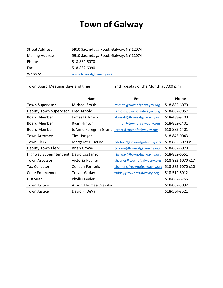### **Town of Galway**

| <b>Street Address</b>             | 5910 Sacandaga Road, Galway, NY 12074 |                                       |                  |  |
|-----------------------------------|---------------------------------------|---------------------------------------|------------------|--|
| <b>Mailing Address</b>            | 5910 Sacandaga Road, Galway, NY 12074 |                                       |                  |  |
| Phone                             | 518-882-6070                          |                                       |                  |  |
| Fax                               | 518-882-6090                          |                                       |                  |  |
| Website                           | www.townofgalwayny.org                |                                       |                  |  |
|                                   |                                       |                                       |                  |  |
| Town Board Meetings days and time |                                       | 2nd Tuesday of the Month at 7:00 p.m. |                  |  |
|                                   |                                       |                                       |                  |  |
|                                   | <b>Name</b>                           | <b>Email</b>                          | Phone            |  |
| <b>Town Supervisor</b>            | <b>Michael Smith</b>                  | msmith@townofgalwayny.org             | 518-882-6070     |  |
| Deputy Town Supervisor            | <b>Fred Arnold</b>                    | farnold@townofgalwayny.org            | 518-882-9057     |  |
| <b>Board Member</b>               | James D. Arnold                       | jdarnold@townofgalwayny.org           | 518-488-9100     |  |
| <b>Board Member</b>               | Ryan Flinton                          | rflinton@townofgalwayny.org           | 518-882-1401     |  |
| <b>Board Member</b>               | JoAnne Peregrim-Grant                 | Jgrant@townofgalwayny.org             | 518-882-1401     |  |
| Town Attorney                     | Tim Horigan                           |                                       | 518-843-0043     |  |
| <b>Town Clerk</b>                 | Margaret L. DeFoe                     | pdefoe2@townofgalwayny.org            | 518-882-6070 x11 |  |
| Deputy Town Clerk                 | <b>Brian Crowe</b>                    | bcrowe@townofgalwayny.org             | 518-882-6070     |  |
| Highway Superintendent            | David Costanzo                        | highway@townofgalwayny.org            | 518-882-6651     |  |
| <b>Town Assessor</b>              | Victoria Hayner                       | vhayner@townofgalwayny.org            | 518-882-6070 x17 |  |
| <b>Tax Collector</b>              | <b>Colleen Forneris</b>               | cforneris@townofgalwayny.org          | 518-882-6070 x10 |  |
| Code Enforcement                  | <b>Trevor Gilday</b>                  | tgilday@townofgalwayny.org            | 518-514-8012     |  |
| Historian                         | Phyllis Keeler                        |                                       | 518-882-6765     |  |
| Town Justice                      | Alison Thomas-Oravsky                 |                                       | 518-882-5092     |  |
| Town Justice                      | David F. DeVall                       |                                       | 518-584-8521     |  |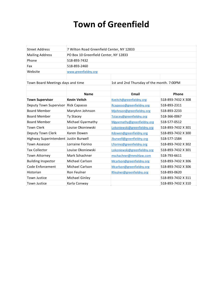# **Town of Greenfield**

| <b>Street Address</b>                 | 7 Wilton Road Greenfield Center, NY 12833 |                                           |                    |  |  |
|---------------------------------------|-------------------------------------------|-------------------------------------------|--------------------|--|--|
| <b>Mailing Address</b>                | PO Box 10 Greenfield Center, NY 12833     |                                           |                    |  |  |
| Phone                                 | 518-893-7432                              |                                           |                    |  |  |
| Fax                                   | 518-893-2460                              |                                           |                    |  |  |
| Website                               | www.greenfieldny.org                      |                                           |                    |  |  |
|                                       |                                           |                                           |                    |  |  |
| Town Board Meetings days and time     |                                           | 1st and 2nd Thursday of the month. 7:00PM |                    |  |  |
|                                       |                                           |                                           |                    |  |  |
|                                       | <b>Name</b>                               | <b>Email</b>                              | Phone              |  |  |
| <b>Town Supervisor</b>                | <b>Kevin Veitch</b>                       | Kveitch@greenfieldny.org                  | 518-893-7432 X 308 |  |  |
| Deputy Town Supervisor                | <b>Rick Capasso</b>                       | Rcapasso@greenfieldny.org                 | 518-893-2311       |  |  |
| <b>Board Member</b>                   | MaryAnn Johnson                           | Mjohnson@greenfieldny.org                 | 518-893-2233       |  |  |
| <b>Board Member</b>                   | Ty Stacey                                 | Tstacey@greenfieldny.org                  | 518-366-0067       |  |  |
| <b>Board Member</b>                   | Michael Gyarmathy                         | Mgyarmathy@greenfieldny.org               | 518-577-0512       |  |  |
| <b>Town Clerk</b>                     | Louise Okoniewski                         | Lokoniewski@greenfieldny.org              | 518-893-7432 X 301 |  |  |
| Deputy Town Clerk                     | Karen Dowen                               | Kdowen@greenfieldny.org                   | 518-893-7432 X 300 |  |  |
| Highway Superintendent Justin Burwell |                                           | Jburwell@greenfieldny.org                 | 518-577-1584       |  |  |
| <b>Town Assessor</b>                  | Lorraine Fiorino                          | Lfiorino@greenfieldny.org                 | 518-893-7432 X 302 |  |  |
| <b>Tax Collector</b>                  | Louise Okoniewski                         | Lokoniewski@greenfieldny.org              | 518-893-7432 X 301 |  |  |
| Town Attorney                         | Mark Schachner                            | mschachner@mmshlaw.com                    | 518-793-6611       |  |  |
| <b>Building Inspector</b>             | Michael Carlson                           | Mcarlson@greenfieldny.org                 | 518-893-7432 X 306 |  |  |
| Code Enforcement                      | Michael Carlson                           | Mcarlson@greenfieldny.org                 | 518-893-7432 X 306 |  |  |
| Historian                             | Ron Feulner                               | Rfeulner@greenfieldny.org                 | 518-893-0620       |  |  |
| Town Justice                          | Michael Ginley                            |                                           | 518-893-7432 X 311 |  |  |
| Town Justice                          | Karla Conway                              |                                           | 518-893-7432 X 310 |  |  |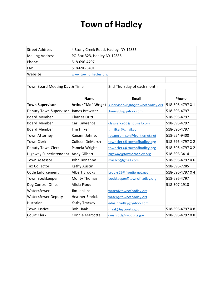# **Town of Hadley**

| <b>Street Address</b>         | 4 Stony Creek Road, Hadley, NY 12835 |                                                      |                  |  |  |
|-------------------------------|--------------------------------------|------------------------------------------------------|------------------|--|--|
| <b>Mailing Address</b>        | PO Box 323, Hadley NY 12835          |                                                      |                  |  |  |
| Phone                         | 518-696-4797                         |                                                      |                  |  |  |
| Fax                           | 518-696-5401                         |                                                      |                  |  |  |
| Website                       | www.townofhadley.org                 |                                                      |                  |  |  |
|                               |                                      |                                                      |                  |  |  |
| Town Board Meeting Day & Time |                                      | 2nd Thursday of each month                           |                  |  |  |
|                               |                                      |                                                      |                  |  |  |
|                               | <b>Name</b>                          | <b>Email</b>                                         | Phone            |  |  |
| <b>Town Supervisor</b>        |                                      | Arthur "Mo" Wright supervisorwright@townofhadley.org | 518-696-4797 X 1 |  |  |
| Deputy Town Supervisor        | James Brewster                       | jbrew958@yahoo.com                                   | 518-696-4797     |  |  |
| <b>Board Member</b>           | <b>Charles Oritt</b>                 |                                                      | 518-696-4797     |  |  |
| <b>Board Member</b>           | Carl Lawrence                        | clawrence65@hotmail.com                              | 518-696-4797     |  |  |
| <b>Board Member</b>           | <b>Tim Hilker</b>                    | tmhilker@gmail.com                                   | 518-696-4797     |  |  |
| Town Attorney                 | Raeann Johnson                       | raeannjohnson@frontiernet.net                        | 518-654-9400     |  |  |
| <b>Town Clerk</b>             | Colleen DeMarsh                      | townclerk@townofhadley.org                           | 518-696-4797 X 2 |  |  |
| Deputy Town Clerk             | Pamela Wright                        | townclerk@townofhadley.org                           | 518-696-4797 X 2 |  |  |
| Highway Superintendent        | Andy Gilbert                         | highway@townofhadley.org                             | 518-696-3414     |  |  |
| <b>Town Assessor</b>          | John Bonanno                         | maslico@gmail.com                                    | 518-696-4797 X 6 |  |  |
| <b>Tax Collector</b>          | Kathy Austin                         |                                                      | 518-696-7285     |  |  |
| Code Enforcement              | <b>Albert Brooks</b>                 | brooks65@frontiernet.net                             | 518-696-4797 X 4 |  |  |
| Town Bookkeeper               | <b>Monty Thomas</b>                  | bookkeeper@townofhadley.org                          | 518-696-4797     |  |  |
| Dog Control Officer           | Alicia Floud                         |                                                      | 518-307-1910     |  |  |
| Water/Sewer                   | Jim Jenkins                          | water@townofhadley.org                               |                  |  |  |
| Water/Sewer Deputy            | <b>Heather Emrick</b>                | water@townofhadley.org                               |                  |  |  |
| Historian                     | Kathy Trackey                        | ednainhadley@yahoo.com                               |                  |  |  |
| Town Justice                  | <b>Bob Haak</b>                      | rhaak@nycourts.gov                                   | 518-696-4797 X 8 |  |  |
| Court Clerk                   | <b>Connie Marcotte</b>               | cmarcott@nycourts.gov                                | 518-696-4797 X 8 |  |  |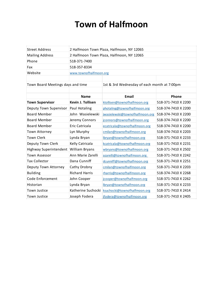# **Town of Halfmoon**

| <b>Street Address</b>                 | 2 Halfmoon Town Plaza, Halfmoon, NY 12065 |                                             |                     |  |  |
|---------------------------------------|-------------------------------------------|---------------------------------------------|---------------------|--|--|
| <b>Mailing Address</b>                |                                           | 2 Halfmoon Town Plaza, Halfmoon, NY 12065   |                     |  |  |
| Phone                                 | 518-371-7400                              |                                             |                     |  |  |
| Fax                                   | 518-357-8334                              |                                             |                     |  |  |
| Website                               | www.townofhalfmoon.org                    |                                             |                     |  |  |
|                                       |                                           |                                             |                     |  |  |
| Town Board Meetings days and time     |                                           | 1st & 3rd Wednesday of each month at 7:00pm |                     |  |  |
|                                       |                                           |                                             |                     |  |  |
|                                       | <b>Name</b>                               | <b>Email</b>                                | Phone               |  |  |
| <b>Town Supervisor</b>                | Kevin J. Tollisen                         | ktollisen@townofhalfmoon.org                | 518-371-7410 X 2200 |  |  |
| Deputy Town Supervisor                | Paul Hotaling                             | photaling@townofhalfmoon.org                | 518-374-7410 X 2200 |  |  |
| <b>Board Member</b>                   | John Wasielewski                          | jwasielewski@townofhalfmoon.org             | 518-374-7410 X 2200 |  |  |
| <b>Board Member</b>                   | Jeremy Connors                            | jconnors@townofhalfmoon.org                 | 518-374-7410 X 2200 |  |  |
| <b>Board Member</b>                   | Eric Catricala                            | ecatricala@townofhalfmoon.org               | 518-374-7410 X 2200 |  |  |
| Town Attorney                         | Lyn Murphy                                | cmilan@townofhalfmoon.org                   | 518-374-7410 X 2203 |  |  |
| <b>Town Clerk</b>                     | Lynda Bryan                               | lbryan@townofhalfmoon.org                   | 518-371-7410 X 2233 |  |  |
| Deputy Town Clerk                     | Kelly Catricala                           | kcatricala@townofhalfmoon.org               | 518-371-7410 X 2231 |  |  |
| Highway Superintendent William Bryans |                                           | wbryans@townofhalfmoon.org                  | 518-371-7410 X 2502 |  |  |
| <b>Town Assessor</b>                  | Ann Marie Zarelli                         | azarelli@townofhalfmoon.org                 | 518-371-7410 X 2242 |  |  |
| <b>Tax Collector</b>                  | Dana Cunniff                              | dcunniff@townofhalfmoon.org                 | 518-371-7410 X 2251 |  |  |
| Deputy Town Attorney                  | Cathy Drobny                              | cmilan@townofhalfmoon.org                   | 518-371-7410 X 2203 |  |  |
| <b>Building</b>                       | <b>Richard Harris</b>                     | rharris@townofhalfmoon.org                  | 518-374-7410 X 2268 |  |  |
| Code Enforcement                      | John Cooper                               | jcooper@townofhalfmoon.org                  | 518-371-7410 X 2262 |  |  |
| Historian                             | Lynda Bryan                               | lbryan@townofhalfmoon.org                   | 518-371-7410 X 2233 |  |  |
| Town Justice                          | Katherine Suchocki                        | ksuchocki@townofhalfmoon.org                | 518-371-7410 X 2414 |  |  |
| Town Justice                          | Joseph Fodera                             | ifodera@townofhalfmoon.org                  | 518-371-7410 X 2405 |  |  |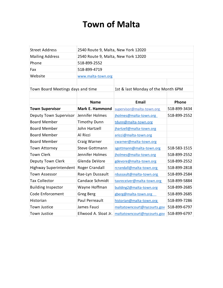# **Town of Malta**

| <b>Street Address</b>             | 2540 Route 9, Malta, New York 12020 |                                    |              |  |
|-----------------------------------|-------------------------------------|------------------------------------|--------------|--|
| <b>Mailing Address</b>            | 2540 Route 9, Malta, New York 12020 |                                    |              |  |
| Phone                             | 518-899-2552                        |                                    |              |  |
| Fax                               | 518-899-4719                        |                                    |              |  |
| Website                           | www.malta-town.org                  |                                    |              |  |
|                                   |                                     |                                    |              |  |
| Town Board Meetings days and time |                                     | 1st & last Monday of the Month 6PM |              |  |
|                                   |                                     |                                    |              |  |
|                                   | <b>Name</b>                         | <b>Email</b>                       | Phone        |  |
| <b>Town Supervisor</b>            | <b>Mark E. Hammond</b>              | supervisor@malta-town.org          | 518-899-3434 |  |
| Deputy Town Supervisor            | Jennifer Holmes                     | jholmes@malta-town.org             | 518-899-2552 |  |
| <b>Board Member</b>               | <b>Timothy Dunn</b>                 | tdunn@malta-town.org               |              |  |
| <b>Board Member</b>               | John Hartzell                       | jhartzell@malta-town.org           |              |  |
| <b>Board Member</b>               | Al Ricci                            | aricci@malta-town.org              |              |  |
| <b>Board Member</b>               | Craig Warner                        | cwarner@malta-town.org             |              |  |
| Town Attorney                     | <b>Steve Gottmann</b>               | sgottmann@malta-town.org           | 518-583-1515 |  |
| <b>Town Clerk</b>                 | Jennifer Holmes                     | jholmes@malta-town.org             | 518-899-2552 |  |
| Deputy Town Clerk                 | Glenda DeVore                       | gdevore@malta-town.org             | 518-899-2552 |  |
| Highway Superintendent            | <b>Roger Crandall</b>               | rcrandall@malta-town.org           | 518-899-2818 |  |
| <b>Town Assessor</b>              | Rae-Lyn Dussault                    | rdussault@malta-town.org           | 518-899-2584 |  |
| <b>Tax Collector</b>              | Candace Schmidt                     | taxreceiver@malta-town.org         | 518-899-5884 |  |
| <b>Building Inspector</b>         | Wayne Hoffman                       | building2@malta-town.org           | 518-899-2685 |  |
| Code Enforcement                  | Greg Berg                           | gberg@malta-town.org               | 518-899-2685 |  |
| Historian                         | <b>Paul Perreault</b>               | historian@malta-town.org           | 518-899-7286 |  |
| <b>Town Justice</b>               | James Fauci                         | maltatowncourt@nycourts.gov        | 518-899-6797 |  |
| <b>Town Justice</b>               | Ellwood A. Sloat Jr.                | maltatowncourt@nycourts.gov        | 518-899-6797 |  |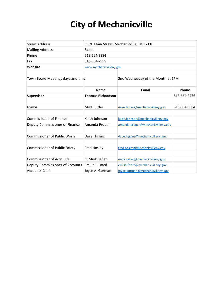# **City of Mechanicville**

| <b>Street Address</b>                | 36 N. Main Street, Mechanicville, NY 12118 |                                   |              |  |
|--------------------------------------|--------------------------------------------|-----------------------------------|--------------|--|
| <b>Mailing Address</b>               | Same                                       |                                   |              |  |
| Phone                                | 518-664-9884                               |                                   |              |  |
| Fax                                  | 518-664-7955                               |                                   |              |  |
| Website                              | www.mechanicvilleny.gov                    |                                   |              |  |
|                                      |                                            |                                   |              |  |
| Town Board Meetings days and time    |                                            | 2nd Wednesday of the Month at 6PM |              |  |
|                                      |                                            |                                   |              |  |
|                                      | <b>Name</b>                                | <b>Email</b>                      | Phone        |  |
| Supervisor                           | <b>Thomas Richardson</b>                   |                                   | 518-664-8776 |  |
|                                      |                                            |                                   |              |  |
| Mayor                                | Mike Butler                                | mike.butler@mechanicvilleny.gov   | 518-664-9884 |  |
|                                      |                                            |                                   |              |  |
| <b>Commissioner of Finance</b>       | Keith Johnson                              | keith.johnson@mechanicvilleny.gov |              |  |
| Deputy Commissioner of Finance       | Amanda Proper                              | amanda.proper@mechanicvilleny.gov |              |  |
|                                      |                                            |                                   |              |  |
| <b>Commissioner of Public Works</b>  | Dave Higgins                               | dave.higgins@mechanicvilleny.gov  |              |  |
|                                      |                                            |                                   |              |  |
| <b>Commissioner of Public Safety</b> | Fred Hosley                                | fred.hosley@mechanicvilleny.gov   |              |  |
|                                      |                                            |                                   |              |  |
| <b>Commissioner of Accounts</b>      | C. Mark Seber                              | mark.seber@mechanicvilleny.gov    |              |  |
| Deputy Commissioner of Accounts      | Emilia J. Foard                            | emilia.foard@mechanicvilleny.gov  |              |  |
| <b>Accounts Clerk</b>                | Joyce A. Gorman                            | joyce.gorman@mechanicvilleny.gov  |              |  |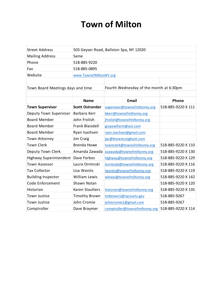# **Town of Milton**

| <b>Street Address</b>             | 503 Geyser Road, Ballston Spa, NY 12020 |                                         |                    |
|-----------------------------------|-----------------------------------------|-----------------------------------------|--------------------|
| <b>Mailing Address</b>            | Same                                    |                                         |                    |
| Phone                             | 518-885-9220                            |                                         |                    |
| Fax                               | 518-885-0895                            |                                         |                    |
| Website                           | www.TownofMiltonNY.org                  |                                         |                    |
|                                   |                                         |                                         |                    |
| Town Board Meetings days and time |                                         | Fourth Wednesday of the month at 6:30pm |                    |
|                                   |                                         |                                         |                    |
|                                   | <b>Name</b>                             | <b>Email</b>                            | Phone              |
| <b>Town Supervisor</b>            | <b>Scott Ostrander</b>                  | supervisor@townofmiltonny.org           | 518-885-9220 X 111 |
| Deputy Town Supervisor            | Barbara Kerr                            | bkerr@townofmiltonny.org                |                    |
| <b>Board Member</b>               | John Frolish                            | jfrolish@townofmiltonny.org             |                    |
| <b>Board Member</b>               | <b>Frank Blaisdell</b>                  | grayowlfarm@aol.com                     |                    |
| <b>Board Member</b>               | Ryan Isachsen                           | ryan.isachsen@gmail.com                 |                    |
| <b>Town Attorney</b>              | Jim Craig                               | jpc@browncraighunt.com                  |                    |
| <b>Town Clerk</b>                 | <b>Brenda Howe</b>                      | townclerk@townofmiltonny.org            | 518-885-9220 X 110 |
| Deputy Town Clerk                 | Amanda Zawada                           | azawada@townofmiltonny.org              | 518-885-9220 X 130 |
| Highway Superintendent            | Dave Forbes                             | highway@townofmiltonny.org              | 518-885-9220 X 129 |
| <b>Town Assessor</b>              | Laura Orminski                          | lorminski@townofmiltonny.org            | 518-885-9220 X 116 |
| <b>Tax Collector</b>              | Lisa Wanits                             | Iwanits@townofmiltonny.org              | 518-885-9220 X 119 |
| <b>Building Inspector</b>         | <b>William Lewis</b>                    | wlewis@townofmiltonny.org               | 518-885-9220 X 142 |
| Code Enforcement                  | Shawn Nolan                             |                                         | 518-885-9220 X 120 |
| Historian                         | <b>Karen Staulters</b>                  | historian@townofmiltonny.org            | 518-885-9220 X 135 |
| Town Justice                      | <b>Timothy Brown</b>                    | tmbrown1@nycourts.gov                   | 518-885-9267       |
| Town Justice                      | John Cromie                             | johncromie1@gmail.com                   | 518-885-9267       |
| Comptroller                       | Dave Braymer                            | comptroller@townofmiltonny.org          | 518-885-9220 X 114 |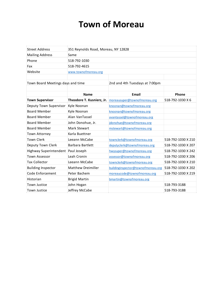### **Town of Moreau**

| <b>Street Address</b>             | 351 Reynolds Road, Moreau, NY 12828 |                                    |                    |
|-----------------------------------|-------------------------------------|------------------------------------|--------------------|
| <b>Mailing Address</b>            | Same                                |                                    |                    |
| Phone                             | 518-792-1030                        |                                    |                    |
| Fax                               | 518-792-4615                        |                                    |                    |
| Website                           | www.townofmoreau.org                |                                    |                    |
|                                   |                                     |                                    |                    |
| Town Board Meetings days and time |                                     | 2nd and 4th Tuesdays at 7:00pm     |                    |
|                                   |                                     |                                    |                    |
|                                   | <b>Name</b>                         | <b>Email</b>                       | Phone              |
| <b>Town Supervisor</b>            | Theodore T. Kusnierz, Jr.           | moreausuper@townofmoreau.org       | 518-792-1030 X 6   |
| Deputy Town Supervisor            | Kyle Noonan                         | knoonan@townofmoreau.org           |                    |
| <b>Board Member</b>               | Kyle Noonan                         | knoonan@townofmoreau.org           |                    |
| <b>Board Member</b>               | Alan VanTassel                      | avantassel@townofmoreau.org        |                    |
| <b>Board Member</b>               | John Donohue, Jr.                   | jdonohue@townofmoreau.org          |                    |
| <b>Board Member</b>               | Mark Stewart                        | mstewart@townofmoreau.org          |                    |
| <b>Town Attorney</b>              | Karla Buettner                      |                                    |                    |
| <b>Town Clerk</b>                 | Leeann McCabe                       | townclerk@townofmoreau.org         | 518-792-1030 X 210 |
| Deputy Town Clerk                 | Barbara Bartlett                    | deputyclerk@townofmoreau.org       | 518-792-1030 X 207 |
| Highway Superintendent            | Paul Joseph                         | hwysuper@townofmoreau.org          | 518-792-1030 X 242 |
| <b>Town Assessor</b>              | Leah Cronin                         | assessor@townofmoreau.org          | 518-792-1030 X 206 |
| <b>Tax Collector</b>              | Leeann McCabe                       | townclerk@townofmoreau.org         | 518-792-1030 X 210 |
| <b>Building Inspector</b>         | <b>Matthew Dreimiller</b>           | buildinginspector@townofmoreau.org | 518-792-1030 X 202 |
| Code Enforcement                  | Peter Bachem                        | moreaucode@townofmoreau.org        | 518-792-1030 X 219 |
| Historian                         | <b>Brigid Martin</b>                | bmartin@townofmoreau.org           |                    |
| Town Justice                      | John Hogan                          |                                    | 518-793-3188       |
| <b>Town Justice</b>               | Jeffrey McCabe                      |                                    | 518-793-3188       |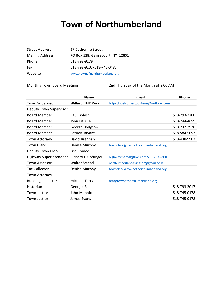# **Town of Northumberland**

| <b>Street Address</b>        | 17 Catherine Street              |                                      |              |
|------------------------------|----------------------------------|--------------------------------------|--------------|
| <b>Mailing Address</b>       | PO Box 128, Gansevoort, NY 12831 |                                      |              |
| Phone                        | 518-792-9179                     |                                      |              |
| Fax                          | 518-792-9203/518-743-0483        |                                      |              |
| Website                      | www.townofnorthumberland.org     |                                      |              |
|                              |                                  |                                      |              |
| Monthly Town Board Meetings: |                                  | 2nd Thursday of the Month at 8:00 AM |              |
|                              |                                  |                                      |              |
|                              | <b>Name</b>                      | Email                                | Phone        |
| <b>Town Supervisor</b>       | <b>Willard 'Bill' Peck</b>       | billpeckwelcomestockfarm@outlook.com |              |
| Deputy Town Supervisor       |                                  |                                      |              |
| <b>Board Member</b>          | Paul Bolesh                      |                                      | 518-793-2700 |
| <b>Board Member</b>          | John DeLisle                     |                                      | 518-744-4659 |
| <b>Board Member</b>          | George Hodgson                   |                                      | 518-232-2978 |
| <b>Board Member</b>          | Patricia Bryant                  |                                      | 518-584-5093 |
| <b>Town Attorney</b>         | David Brennan                    |                                      | 518-438-9907 |
| <b>Town Clerk</b>            | Denise Murphy                    | townclerk@townofnorthumberland.org   |              |
| Deputy Town Clerk            | Lisa Conlee                      |                                      |              |
| Highway Superintendent       | Richard D Coffinger III          | highwayman50@live.com 518-793-6901   |              |
| <b>Town Assessor</b>         | <b>Walter Smead</b>              | northumberlandassessor@gmail.com     |              |
| <b>Tax Collector</b>         | Denise Murphy                    | townclerk@townofnorthumberland.org   |              |
| Town Attorney                |                                  |                                      |              |
| <b>Building Inspector</b>    | Michael Terry                    | bza@townofnorthumberland.org         |              |
| Historian                    | Georgia Ball                     |                                      | 518-793-2017 |
| <b>Town Justice</b>          | John Mannix                      |                                      | 518-745-0178 |
| <b>Town Justice</b>          | James Evans                      |                                      | 518-745-0178 |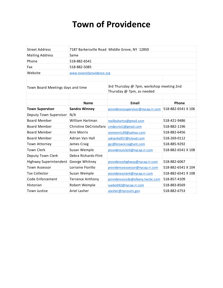# **Town of Providence**

| <b>Street Address</b>             | 7187 Barkersville Road Middle Grove, NY 12850 |                                                                       |                    |
|-----------------------------------|-----------------------------------------------|-----------------------------------------------------------------------|--------------------|
| <b>Mailing Address</b>            | Same                                          |                                                                       |                    |
| Phone                             | 518-882-6541                                  |                                                                       |                    |
| Fax                               | 518-882-5085                                  |                                                                       |                    |
| Website                           | www.townofprovidence.org                      |                                                                       |                    |
|                                   |                                               |                                                                       |                    |
| Town Board Meetings days and time |                                               | 3rd Thursday @ 7pm, workshop meeting 2nd<br>Thursday @ 7pm, as needed |                    |
|                                   |                                               |                                                                       |                    |
|                                   | <b>Name</b>                                   | Email                                                                 | Phone              |
| <b>Town Supervisor</b>            | <b>Sandra Winney</b>                          | providencesupervisor@nycap.rr.com                                     | 518-882-6541 X 106 |
| Deputy Town Supervisor            | N/A                                           |                                                                       |                    |
| <b>Board Member</b>               | William Hartman                               | malibuhartss@gmail.com                                                | 518-421-9486       |
| <b>Board Member</b>               | Christine DeCristofaro                        | cmdecrist1@gmail.com                                                  | 518-882-1196       |
| <b>Board Member</b>               | <b>Ann Morris</b>                             | annmorris39@yahoo.com                                                 | 518-882-6456       |
| <b>Board Member</b>               | Adrian Van Hall<br>adrianhall57@icloud.com    |                                                                       | 518-269-0112       |
| Town Attorney                     | James Craig                                   | jpc@browncraighunt.com                                                | 518-885-9292       |
| <b>Town Clerk</b>                 | Susan Wemple                                  | providenceclerk@nycap.rr.com                                          | 518-882-6541 X 108 |
| Deputy Town Clerk                 | Debra Richards-Flint                          |                                                                       |                    |
| Highway Superintendent            | George Whitney                                | providencehighway@nycap.rr.com                                        | 518-882-6067       |
| <b>Town Assessor</b>              | Lorraine Fiorillo                             | providenceassessor@nycap.rr.com                                       | 518-882-6541 X 104 |
| <b>Tax Collector</b>              | Susan Wemple                                  | providenceclerk@nycap.rr.com                                          | 518-882-6541 X 108 |
| Code Enforcement                  | <b>Terrance Anthony</b>                       | providencecode@albany.twcbc.com                                       | 518-857-4109       |
| Historian                         | Robert Wemple                                 | suebob92@nycap.rr.com                                                 | 518-883-8569       |
| Town Justice                      | Ariel Lasher                                  | alasher@nycourts.gov                                                  | 518-882-6753       |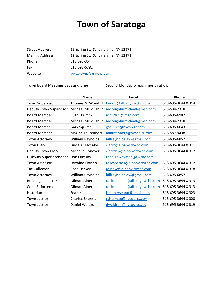# **Town of Saratoga**

| <b>Street Address</b>             | 12 Spring St. Schuylerville NY 12871 |                                                     |                    |  |
|-----------------------------------|--------------------------------------|-----------------------------------------------------|--------------------|--|
| <b>Mailing Address</b>            | 12 Spring St. Schuylerville NY 12871 |                                                     |                    |  |
| Phone                             | 518-695-3644                         |                                                     |                    |  |
| Fax                               | 518-695-6782                         |                                                     |                    |  |
| Website                           | www.townofsaratoga.com               |                                                     |                    |  |
|                                   |                                      |                                                     |                    |  |
| Town Board Meetings days and time |                                      | Second Monday of each month at 6 pm                 |                    |  |
|                                   |                                      |                                                     |                    |  |
|                                   | <b>Name</b>                          | <b>Email</b>                                        | Phone              |  |
| <b>Town Supervisor</b>            | Thomas N. Wood III                   | twood@albany.twcbc.com                              | 518-695-3644 X 314 |  |
| Deputy Town Supervisor            | Michael McLoughlin                   | mcloughlinmichael@msn.com                           | 518-584-2318       |  |
| <b>Board Member</b>               | <b>Ruth Drumm</b>                    | rdr12871@msn.com                                    | 518-695-6982       |  |
| <b>Board Member</b>               | Michael McLoughlin                   | mcloughlinmichael@msn.com                           | 518-584-2318       |  |
| <b>Board Member</b>               | <b>Gary Squires</b>                  | gsquires@nycap.rr.com                               | 518-695-6043       |  |
| <b>Board Member</b>               | Maxine Lautenberg                    | mlautenberg@nycap.rr.com                            | 518-587-9438       |  |
| Town Attorney                     | William Reynolds                     | billreynoldslaw@gmail.com                           | 518-695-6857       |  |
| <b>Town Clerk</b>                 | Linda A. McCabe                      | clerkt@albany.twcbc.com                             | 518-695-3644 X 311 |  |
| Deputy Town Clerk                 | Michelle Conover                     | clerkdep@albany.twcbc.com                           | 518-695-3644 X 317 |  |
| Highway Superintendent            | Don Ormsby                           | thehighwaymen@twcbc.com                             |                    |  |
| <b>Town Assessor</b>              | Lorraine Fiorino                     | assessortos@albany.twcbc.com                        | 518-695-3644 X 312 |  |
| <b>Tax Collector</b>              | Rose Decker                          | tostaxc@albany.twcbc.com                            | 518-695-3644 X 318 |  |
| Town Attorney                     | William Reynolds                     | billreynoldslaw@gmail.com                           | 518-695-6857       |  |
| <b>Building Inspector</b>         | <b>Gilman Albert</b>                 | tosbuildinsp@albany.twcbc.com<br>518-695-3644 X 313 |                    |  |
| Code Enforcement                  | Gilman Albert                        | tosbuildinsp@albany.twcbc.com                       | 518-695-3644 X 313 |  |
| Historian                         | Sean Kelleher                        | kelleherseanp@gmail.com                             | 518-695-3644 X 323 |  |
| Town Justice                      | <b>Charles Sherman</b>               | csherman@nycourts.gov                               | 518-695-3644 X 320 |  |
| Town Justice                      | Daniel Waldron                       | dwaldron@nycourts.gov                               | 518-695-3644 X 319 |  |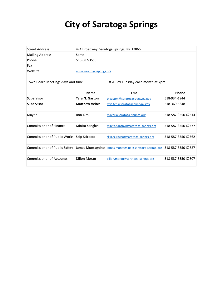# **City of Saratoga Springs**

| <b>Street Address</b>                | 474 Broadway, Saratoga Springs, NY 12866 |                                       |                    |  |
|--------------------------------------|------------------------------------------|---------------------------------------|--------------------|--|
| <b>Mailing Address</b>               | Same                                     |                                       |                    |  |
| Phone                                | 518-587-3550                             |                                       |                    |  |
| Fax                                  |                                          |                                       |                    |  |
| Website                              | www.saratoga-springs.org                 |                                       |                    |  |
|                                      |                                          |                                       |                    |  |
| Town Board Meetings days and time    |                                          | 1st & 3rd Tuesday each month at 7pm   |                    |  |
|                                      |                                          |                                       |                    |  |
|                                      | <b>Name</b>                              | Email                                 | Phone              |  |
| <b>Supervisor</b>                    | <b>Tara N. Gaston</b>                    | tngaston@saratogacountyny.gov         | 518-934-1944       |  |
| Supervisor                           | <b>Matthew Veitch</b>                    | mveitch@saratogacountyny.gov          | 518-369-6348       |  |
|                                      |                                          |                                       |                    |  |
| Mayor                                | Ron Kim                                  | mayor@saratoga-springs.org            | 518-587-3550 X2514 |  |
|                                      |                                          |                                       |                    |  |
| <b>Commissioner of Finance</b>       | Minita Sanghvi                           | minita.sanghvi@saratoga-springs.org   | 518-587-3550 X2577 |  |
|                                      |                                          |                                       |                    |  |
| <b>Commissioner of Public Works</b>  | Skip Scirocco                            | skip.scirocco@saratoga-springs.org    | 518-587-3550 X2562 |  |
|                                      |                                          |                                       |                    |  |
| <b>Commissioner of Public Safety</b> | James Montagnino                         | james.montagnino@saratoga-springs.org | 518-587-3550 X2627 |  |
|                                      |                                          |                                       |                    |  |
| <b>Commissioner of Accounts</b>      | <b>Dillon Moran</b>                      | dillon.moran@saratoga-springs.org     | 518-587-3550 X2607 |  |
|                                      |                                          |                                       |                    |  |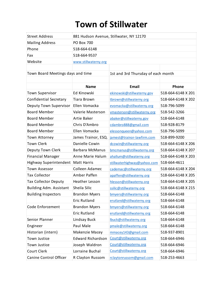# **Town of Stillwater**

| <b>Street Address</b>             | 881 Hudson Avenue, Stillwater, NY 12170 |                                            |                    |
|-----------------------------------|-----------------------------------------|--------------------------------------------|--------------------|
| <b>Mailing Address</b>            | <b>PO Box 700</b>                       |                                            |                    |
| Phone                             | 518-664-6148                            |                                            |                    |
| Fax                               | 518-664-9537                            |                                            |                    |
| Website                           | www.stillwaterny.org                    |                                            |                    |
|                                   |                                         |                                            |                    |
| Town Board Meetings days and time |                                         | 1st and 3rd Thursday of each month         |                    |
|                                   |                                         |                                            |                    |
|                                   | <b>Name</b>                             | <b>Email</b>                               | <b>Phone</b>       |
| <b>Town Supervisor</b>            | Ed Kinowski                             | ekinowski@stillwaterny.gov                 | 518-664-6148 X 201 |
| <b>Confidential Secretary</b>     | <b>Tiara Brown</b>                      | tbrown@stillwaterny.org                    | 518-664-6148 X 202 |
| Deputy Town Supervisor            | Ellen Vomacka                           | evomacka@stillwaterny.org                  | 518-796-5099       |
| <b>Board Member</b>               | Valerie Masterson                       | vmasterson@stillwaterny.org                | 518-542-3266       |
| <b>Board Member</b>               | Artie Baker                             | abaker@stillwaterny.gov                    | 518-664-6148       |
| <b>Board Member</b>               | Chris D'Ambro                           | cdambro888@gmail.com                       | 518-928-8179       |
| <b>Board Member</b>               | Ellen Vomacka                           | elessonqueen@yahoo.com                     | 518-796-5099       |
| Town Attorney                     | James Trainor, ESQ.                     | 518-899-9200<br>jamest@trainor-lawfirm.com |                    |
| <b>Town Clerk</b>                 | Danielle Cowin                          | dcowin@stillwaterny.org                    | 518-664-6148 X 206 |
| Deputy Town Clerk                 | <b>Barbara McManus</b>                  | bmcmanus@stillwaterny.org                  | 518-664-6148 X 207 |
| <b>Financial Manager</b>          | Anne Marie Halum                        | ahallum@stillwaterny.org                   | 518-664-6148 X 203 |
| Highway Superintendent            | <b>Matt Harris</b>                      | stillwaterhighway@yahoo.com                | 518-664-4611       |
| <b>Town Assessor</b>              | Colleen Adamec                          | cademac@stillwaterny.org                   | 518-664-6148 X 204 |
| <b>Tax Collector</b>              | Amber Paffen                            | apaffen@stillwaterny.org                   | 518-664-6148 X 205 |
| <b>Tax Collector Deputy</b>       | Heather Lesson                          | hlesson@stillwaterny.org                   | 518-664-6148 X 205 |
| <b>Building Adm. Assistant</b>    | Sheila Silic                            | ssilic@stillwaterny.org                    | 518-664-6148 X 215 |
| <b>Building Inspectors</b>        | <b>Brandon Myers</b>                    | bmyers@stillwaterny.org                    | 518-664-6148       |
|                                   | Eric Rutland                            | erutland@stillwaterny.org                  | 518-664-6148       |
| Code Enforcement                  | <b>Brandon Myers</b>                    | bmyers@stillwaterny.org                    | 518-664-6148       |
|                                   | <b>Eric Rutland</b>                     | erutland@stillwaterny.org                  | 518-664-6148       |
| Senior Planner                    | Lindsay Buck                            | lbuck@stillwaterny.org                     | 518-664-6148       |
| Engineer                          | Paul Male                               | pmale@stillwaterny.org                     | 518-664-6148       |
| Historian (intern)                | Makenzie Macey                          | mmacey143@gmail.com                        | 518-937-8901       |
| Town Justice                      | <b>Edward Richardson</b>                | Court@stillwaterny.org                     | 518-664-6946       |
| Town Justice                      | Joseph Waldron                          | Court@stillwaterny.org                     | 518-664-6946       |
| Court Clerk                       | Lorraine Buchal                         | Court@stillwaterny.org                     | 518-664-6946       |
| Canine Control Officer            | R Clayton Russom                        | rclaytonrussom@gmail.com                   | 518-253-4663       |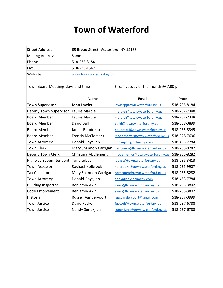### **Town of Waterford**

| Street Address         | 65 Broad Street, Waterford, NY 12188 |
|------------------------|--------------------------------------|
| <b>Mailing Address</b> | <b>Same</b>                          |
| Phone                  | 518-235-8184                         |
| Fax                    | 518-235-1547                         |
| Website                | www.town.waterford.ny.us             |
|                        |                                      |

Town Board Meetings days and time

First Tuesday of the month @ 7:00 p.m.

|                           | <b>Name</b>                | Email                           | <b>Phone</b> |
|---------------------------|----------------------------|---------------------------------|--------------|
| <b>Town Supervisor</b>    | John Lawler                | lawlerj@town.waterford.ny.us    | 518-235-8184 |
| Deputy Town Supervisor    | Laurie Marble              | marblel@town.waterford.ny.us    | 518-237-7348 |
| <b>Board Member</b>       | Laurie Marble              | marblel@town.waterford.ny.us    | 518-237-7348 |
| <b>Board Member</b>       | David Ball                 | balld@town.waterford.ny.us      | 518-368-0899 |
| <b>Board Member</b>       | James Boudreau             | boudreauj@town.waterford.ny.us  | 518-235-8345 |
| <b>Board Member</b>       | <b>Francis McClement</b>   | mcclementf@town.waterford.ny.us | 518-928-7636 |
| Town Attorney             | Donald Boyajian            | dboyajian@dblawny.com           | 518-463-7784 |
| <b>Town Clerk</b>         | Mary Shannon Carrigan      | carriganm@town.waterford.ny.us  | 518-235-8282 |
| Deputy Town Clerk         | Christina McClement        | mcclementc@town.waterford.ny.us | 518-235-8282 |
| Highway Superintendent    | Tony Lubas                 | lubast@town.waterford.ny.us     | 518-235-3413 |
| <b>Town Assessor</b>      | Rachael Holbrook           | holbrookr@town.waterford.ny.us  | 518-235-9907 |
| <b>Tax Collector</b>      | Mary Shannon Carrigan      | carriganm@town.waterford.ny.us  | 518-235-8282 |
| Town Attorney             | Donald Boyajian            | dboyajian@dblawny.com           | 518-463-7784 |
| <b>Building Inspector</b> | Benjamin Akin              | akinb@town.waterford.ny.us      | 518-235-3802 |
| Code Enforcement          | Benjamin Akin              | akinb@town.waterford.ny.us      | 518-235-3802 |
| Historian                 | <b>Russell Vandervoort</b> | russvandervoort@gmail.com       | 518-237-0999 |
| Town Justice              | David Fusko                | fuscod@town.waterford.ny.us     | 518-237-6788 |
| Town Justice              | Nandy Sunukjian            | sunukjiann@town.waterford.ny.us | 518-237-6788 |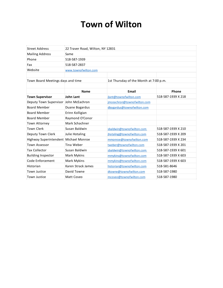### **Town of Wilton**

| <b>Street Address</b>                 | 22 Traver Road, Wilton, NY 12831 |                                        |                    |
|---------------------------------------|----------------------------------|----------------------------------------|--------------------|
| <b>Mailing Address</b>                | Same                             |                                        |                    |
| Phone                                 | 518-587-1939                     |                                        |                    |
| Fax                                   | 518-587-2837                     |                                        |                    |
| Website                               | www.townofwilton.com             |                                        |                    |
|                                       |                                  |                                        |                    |
| Town Board Meetings days and time     |                                  | 1st Thursday of the Month at 7:00 p.m. |                    |
|                                       |                                  |                                        |                    |
|                                       | <b>Name</b>                      | Email                                  | Phone              |
| <b>Town Supervisor</b>                | John Lant                        | jlant@townofwilton.com                 | 518-587-1939 X 218 |
| Deputy Town Supervisor John McEachron |                                  | imceachron@townofwilton.com            |                    |
| <b>Board Member</b>                   | Duane Bogardus                   | dbogardus@townofwilton.com             |                    |
| <b>Board Member</b>                   | Erinn Kolligian                  |                                        |                    |
| <b>Board Member</b>                   | Raymond O'Conor                  |                                        |                    |
| Town Attorney                         | Mark Schachner                   |                                        |                    |
| <b>Town Clerk</b>                     | Susan Baldwin                    | sbaldwin@townofwilton.com              | 518-587-1939 X 210 |
| Deputy Town Clerk                     | Julie Hotaling                   | jhotaling@townofwilton.com             | 518-587-1939 X 209 |
| Highway Superintendent Michael Monroe |                                  | mmonroe@townofwilton.com               | 518-587-1939 X 234 |
| <b>Town Assessor</b>                  | Tina Weber                       | tweber@townofwilton.com                | 518-587-1939 X 201 |
| <b>Tax Collector</b>                  | Susan Baldwin                    | sbaldwin@townofwilton.com              | 518-587-1939 X 601 |
| <b>Building Inspector</b>             | Mark Mykins                      | mmykins@townofwilton.com               | 518-587-1939 X 603 |
| Code Enforcement                      | Mark Mykins                      | mmykins@townofwilton.com               | 518-587-1939 X 603 |
| Historian                             | Karen Strack James               | historian@townofwilton.com             | 518-581-8646       |
| Town Justice                          | David Towne                      | dtowne@townofwilton.com                | 518-587-1980       |
| Town Justice                          | Matt Coseo                       | mcoseo@townofwilton.com                | 518-587-1980       |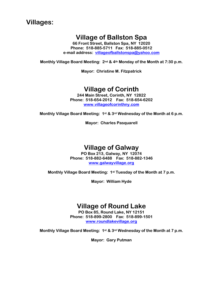### **Villages:**

### **Village of Ballston Spa**

**66 Front Street, Ballston Spa, NY 12020 Phone: 518-885-5711 Fax: 518-885-0512 e-mail address: villageofballstonspa@yahoo.com**

**Monthly Village Board Meeting: 2nd & 4th Monday of the Month at 7:30 p.m.** 

**Mayor: Christine M. Fitzpatrick** 

### **Village of Corinth**

**244 Main Street, Corinth, NY 12822 Phone: 518-654-2012 Fax: 518-654-6202 www.villageofcorinthny.com**

**Monthly Village Board Meeting: 1st & 3rd Wednesday of the Month at 6 p.m.** 

**Mayor: Charles Pasquarell** 

### **Village of Galway**

**PO Box 213, Galway, NY 12074 Phone: 518-882-6488 Fax: 518-882-1346 www.galwayvillage.org**

**Monthly Village Board Meeting: 1st Tuesday of the Month at 7 p.m.** 

**Mayor: William Hyde** 

### **Village of Round Lake**

**PO Box 85, Round Lake, NY 12151 Phone: 518-899-2800 Fax: 518-899-1501 www.roundlakevillage.org**

**Monthly Village Board Meeting: 1st & 3rd Wednesday of the Month at 7 p.m.** 

**Mayor: Gary Putman**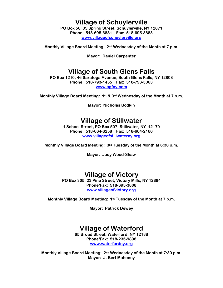### **Village of Schuylerville**

**PO Box 56, 35 Spring Street, Schuylerville, NY 12871 Phone: 518-695-3881 Fax: 518-695-3883 www.villageofschuylerville.org**

**Monthly Village Board Meeting: 2nd Wednesday of the Month at 7 p.m.** 

**Mayor: Daniel Carpenter** 

### **Village of South Glens Falls**

**PO Box 1210, 46 Saratoga Avenue, South Glens Falls, NY 12803 Phone: 518-793-1455 Fax: 518-793-3063 www.sgfny.com**

**Monthly Village Board Meeting: 1st & 3rd Wednesday of the Month at 7 p.m.** 

**Mayor: Nicholas Bodkin** 

### **Village of Stillwater**

**1 School Street, PO Box 507, Stillwater, NY 12170 Phone: 518-664-6258 Fax: 518-664-2166 www.villageofstillwaterny.org**

**Monthly Village Board Meeting: 3rd Tuesday of the Month at 6:30 p.m.** 

**Mayor: Judy Wood-Shaw** 

### **Village of Victory**

**PO Box 305, 23 Pine Street, Victory Mills, NY 12884 Phone/Fax: 518-695-3808 www.villageofvictory.org**

**Monthly Village Board Meeting: 1st Tuesday of the Month at 7 p.m.** 

**Mayor: Patrick Dewey** 

### **Village of Waterford**

**65 Broad Street, Waterford, NY 12188 Phone/Fax: 518-235-9898 www.waterfordny.org**

**Monthly Village Board Meeting: 2nd Wednesday of the Month at 7:30 p.m. Mayor: J. Bert Mahoney**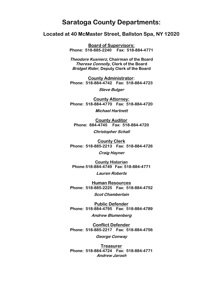### **Saratoga County Departments:**

**Located at 40 McMaster Street, Ballston Spa, NY 12020** 

**Board of Supervisors: Phone: 518-885-2240 Fax: 518-884-4771** 

**Theodore Kusnierz, Chairman of the Board Therese Connolly, Clerk of the Board Bridget Rider, Deputy Clerk of the Board** 

**County Administrator: Phone: 518-884-4742 Fax: 518-884-4723** 

**Steve Bulger** 

**County Attorney: Phone: 518-884-4770 Fax: 518-884-4720 Michael Hartnett**

**County Auditor Phone: 884-4745 Fax: 518-884-4720** 

**Christopher Schall**

**County Clerk Phone: 518-885-2213 Fax: 518-884-4726** 

**Craig Hayner**

**County Historian Phone 518-884-4749 Fax: 518-884-4771** 

**Lauren Roberts**

**Human Resources Phone: 518-885-2225 Fax: 518-884-4752 Scot Chamberlain** 

**Public Defender Phone: 518-884-4795 Fax: 518-884-4789** 

**Andrew Blumenberg** 

**Conflict Defender Phone: 518-885-2217 Fax: 518-884-4756** 

**George Conway** 

**Treasurer Phone: 518-884-4724 Fax: 518-884-4771 Andrew Jarosh**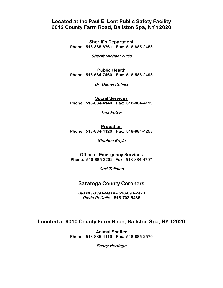### **Located at the Paul E. Lent Public Safety Facility 6012 County Farm Road, Ballston Spa, NY 12020**

**Sheriff's Department Phone: 518-885-6761 Fax: 518-885-2453** 

**Sheriff Michael Zurlo** 

**Public Health Phone: 518-584-7460 Fax: 518-583-2498** 

**Dr. Daniel Kuhles** 

**Social Services Phone: 518-884-4140 Fax: 518-884-4199** 

**Tina Potter** 

**Probation Phone: 518-884-4120 Fax: 518-884-4258** 

**Stephen Bayle** 

**Office of Emergency Services Phone: 518-885-2232 Fax: 518-884-4707** 

**Carl Zeilman** 

#### **Saratoga County Coroners**

**Susan Hayes-Masa – 518-693-2420 David DeCelle – 518-703-5436** 

#### **Located at 6010 County Farm Road, Ballston Spa, NY 12020**

**Animal Shelter Phone: 518-885-4113 Fax: 518-885-2570** 

**Penny Heritage**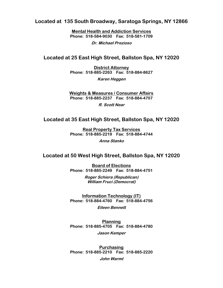**Located at 135 South Broadway, Saratoga Springs, NY 12866** 

**Mental Health and Addiction Services Phone: 518-584-9030 Fax: 518-581-1709** 

**Dr. Michael Prezioso** 

#### **Located at 25 East High Street, Ballston Spa, NY 12020**

**District Attorney Phone: 518-885-2263 Fax: 518-884-8627** 

**Karen Heggen**

**Weights & Measures / Consumer Affairs Phone: 518-885-2237 Fax: 518-884-4707** 

**R. Scott Near** 

#### **Located at 35 East High Street, Ballston Spa, NY 12020**

**Real Property Tax Services Phone: 518-885-2219 Fax: 518-884-4744** 

**Anna Stanko** 

#### **Located at 50 West High Street, Ballston Spa, NY 12020**

**Board of Elections Phone: 518-885-2249 Fax: 518-884-4751** 

> **Roger Schiera (Republican) William Fruci (Democrat)**

**Information Technology (IT) Phone: 518-884-4760 Fax: 518-884-4756** 

**Eileen Bennett** 

**Planning Phone: 518-885-4705 Fax: 518-884-4780 Jason Kemper** 

**Purchasing Phone: 518-885-2210 Fax: 518-885-2220 John Warmt**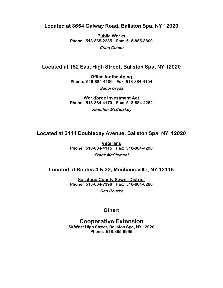#### **Located at 3654 Galway Road, Ballston Spa, NY 12020**

**Public Works Phone: 518-885-2235 Fax: 518-885-8809 Chad Cooke** 

#### **Located at 152 East High Street, Ballston Spa, NY 12020**

**Office for the Aging Phone: 518-884-4100 Fax: 518-884-4104** 

**Sandi Cross** 

**Workforce Investment Act Phone: 518-884-4170 Fax: 518-884-4262 Jenniffer McCloskey** 

#### **Located at 2144 Doubleday Avenue, Ballston Spa, NY 12020**

**Veterans Phone: 518-884-4115 Fax: 518-884-4290** 

#### **Frank McClement**

#### **Located at Routes 4 & 32, Mechanicville, NY 12118**

**Saratoga County Sewer District Phone: 518-664-7396 Fax: 518-664-6280** 

**Dan Rourke** 

#### **Other:**

### **Cooperative Extension**

**50 West High Street, Ballston Spa, NY 12020 Phone: 518-885-8995**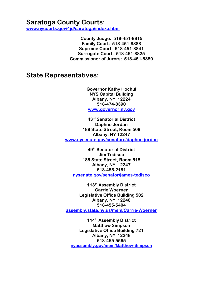### **Saratoga County Courts:**

**www.nycourts.gov/4jd/saratoga/index.shtml**

**County Judge: 518-451-8815 Family Court: 518-451-8888 Supreme Court: 518-451-8841 Surrogate Court: 518-451-8825 Commissioner of Jurors: 518-451-8850** 

**State Representatives:** 

**Governor Kathy Hochul NYS Capital Building Albany, NY 12224 518-474-8390 www.governor.ny.gov**

**43rd Senatorial District Daphne Jordan 188 State Street, Room 508 Albany, NY 12247 www.nysenate.gov/senators/daphne-jordan**

**49th Senatorial District Jim Tedisco 188 State Street, Room 515 Albany, NY 12247 518-455-2181 nysenate.gov/senator/james-tedisco**

**113th Assembly District Carrie Woerner Legislative Office Building 502 Albany, NY 12248 518-455-5404 assembly.state.ny.us/mem/Carrie-Woerner**

**114th Assembly District Matthew Simpson Legislative Office Building 721 Albany, NY 12248 518-455-5565 nyassembly.gov/mem/Matthew-Simpson**